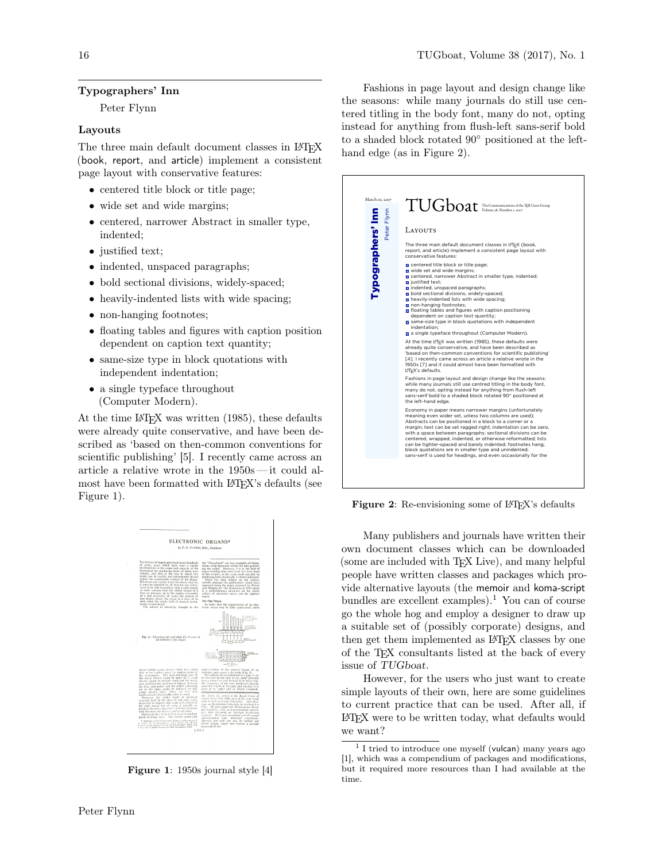## Typographers' Inn

Peter Flynn

### Layouts

The three main default document classes in LATEX (book, report, and article) implement a consistent page layout with conservative features:

- centered title block or title page;
- wide set and wide margins;
- centered, narrower Abstract in smaller type, indented;
- justified text;
- indented, unspaced paragraphs;
- bold sectional divisions, widely-spaced;
- heavily-indented lists with wide spacing;
- non-hanging footnotes;
- floating tables and figures with caption position dependent on caption text quantity;
- same-size type in block quotations with independent indentation;
- a single typeface throughout (Computer Modern).

At the time LAT<sub>EX</sub> was written (1985), these defaults were already quite conservative, and have been described as 'based on then-common conventions for scientific publishing' [5]. I recently came across an article a relative wrote in the 1950s— it could almost have been formatted with LAT<sub>EX</sub>'s defaults (see Figure 1).



Figure 1: 1950s journal style [4]

Fashions in page layout and design change like the seasons: while many journals do still use centered titling in the body font, many do not, opting instead for anything from flush-left sans-serif bold to a shaded block rotated 90◦ positioned at the lefthand edge (as in Figure 2).

| March 10, 2017                   | TUGboat The Communications of the TEX Users Group                                                                                                                                                                                                                                                                                                                                                                                                                                                                                                                                                                                                  |
|----------------------------------|----------------------------------------------------------------------------------------------------------------------------------------------------------------------------------------------------------------------------------------------------------------------------------------------------------------------------------------------------------------------------------------------------------------------------------------------------------------------------------------------------------------------------------------------------------------------------------------------------------------------------------------------------|
| Typographers' Inn<br>Peter Flynr | <b>LAYOUTS</b><br>The three main default document classes in LATEX (book,<br>report, and article) implement a consistent page layout with                                                                                                                                                                                                                                                                                                                                                                                                                                                                                                          |
|                                  | conservative features:<br>centered title block or title page;<br>wide set and wide margins;<br>centered, narrower Abstract in smaller type, indented;<br>ustified text:<br>n indented, unspaced paragraphs;<br>bold sectional divisions, widely-spaced;<br>heavily-indented lists with wide spacing;<br>non-hanging footnotes;<br>□ floating tables and figures with caption positioning<br>dependent on caption text quantity;<br>a same-size type in block quotations with independent<br>indentation:<br>a single typeface throughout (Computer Modern).<br>At the time L <sup>2</sup> T <sub>F</sub> X was written (1985), these defaults were |
|                                  | already quite conservative, and have been described as<br>'based on then-common conventions for scientific publishing'<br>[4]. I recently came across an article a relative wrote in the<br>1950s [7] and it could almost have been formatted with<br>L <sup>AT</sup> FX's defaults.<br>Fashions in page layout and design change like the seasons:                                                                                                                                                                                                                                                                                                |
|                                  | while many journals still use centred titling in the body font,<br>many do not, opting instead for anything from flush-left<br>sans-serif bold to a shaded block rotated 90° positioned at<br>the left-hand edge.                                                                                                                                                                                                                                                                                                                                                                                                                                  |
|                                  | Economy in paper means narrower margins (unfortunately<br>meaning even wider set, unless two columns are used):<br>Abstracts can be positioned in a block to a corner or a<br>margin: text can be set ragged right: indentation can be zero.<br>with a space between paragraphs; sectional divisions can be<br>centered, wrapped, indented, or otherwise reformatted; lists<br>can be tighter-spaced and barely indented; footnotes hang;<br>block quotations are in smaller type and unindented;<br>sans-serif is used for headings, and even occasionally for the                                                                                |

Figure 2: Re-envisioning some of L<sup>AT</sup>FX's defaults

Many publishers and journals have written their own document classes which can be downloaded (some are included with TEX Live), and many helpful people have written classes and packages which provide alternative layouts (the memoir and koma-script bundles are excellent examples).<sup>1</sup> You can of course go the whole hog and employ a designer to draw up a suitable set of (possibly corporate) designs, and then get them implemented as L<sup>AT</sup>FX classes by one of the TEX consultants listed at the back of every issue of TUGboat.

However, for the users who just want to create simple layouts of their own, here are some guidelines to current practice that can be used. After all, if LATEX were to be written today, what defaults would we want?

<sup>&</sup>lt;sup>1</sup> I tried to introduce one myself (vulcan) many years ago [1], which was a compendium of packages and modifications, but it required more resources than I had available at the time.